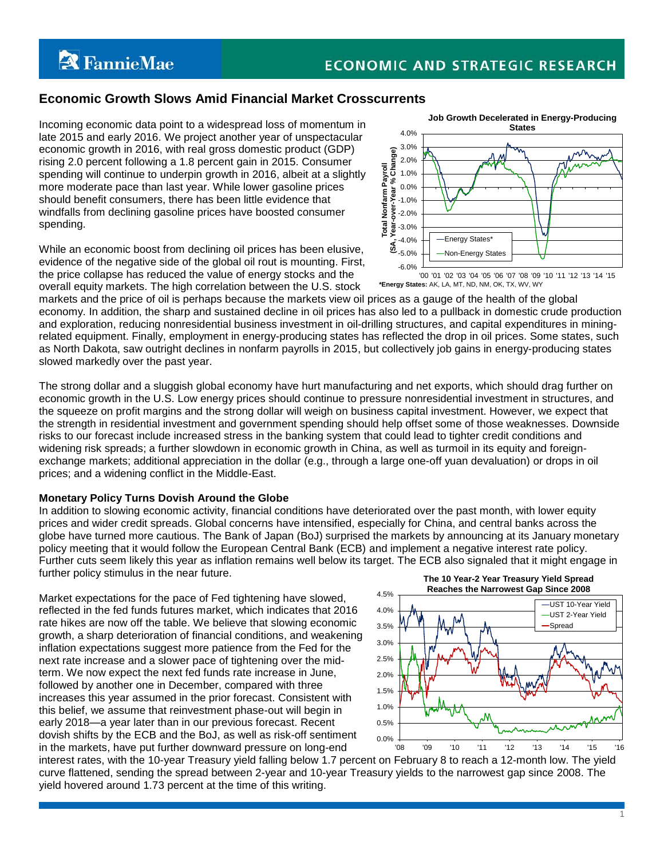# **Economic Growth Slows Amid Financial Market Crosscurrents**

Incoming economic data point to a widespread loss of momentum in late 2015 and early 2016. We project another year of unspectacular economic growth in 2016, with real gross domestic product (GDP) rising 2.0 percent following a 1.8 percent gain in 2015. Consumer spending will continue to underpin growth in 2016, albeit at a slightly more moderate pace than last year. While lower gasoline prices should benefit consumers, there has been little evidence that windfalls from declining gasoline prices have boosted consumer spending.

While an economic boost from declining oil prices has been elusive, evidence of the negative side of the global oil rout is mounting. First, the price collapse has reduced the value of energy stocks and the overall equity markets. The high correlation between the U.S. stock

-6.0% -5.0% -4.0%  $\frac{1}{5}$  $\frac{1}{5}$  -3.0% -2.0% -1.0% 0.0% 1.0% 2.0% 3.0% 4.0% **EVALUATION CONFIDENTIAL CONFIDENTIAL CONFIDENTIAL CONFIDENTIAL CONFIDENTIAL CONFIDENTIAL CONFIDENTIAL CONFIDENTIAL CONFIDENTIAL CONFIDENTIAL CONFIDENTIAL CONFIDENTIAL CONFIDENTIAL CONFIDENTIAL CONFIDENTIAL CONFIDENTIAL CO Job Growth Decelerated in Energy-Producing States** Energy States\* Non-Energy States



markets and the price of oil is perhaps because the markets view oil prices as a gauge of the health of the global economy. In addition, the sharp and sustained decline in oil prices has also led to a pullback in domestic crude production and exploration, reducing nonresidential business investment in oil-drilling structures, and capital expenditures in miningrelated equipment. Finally, employment in energy-producing states has reflected the drop in oil prices. Some states, such as North Dakota, saw outright declines in nonfarm payrolls in 2015, but collectively job gains in energy-producing states slowed markedly over the past year.

The strong dollar and a sluggish global economy have hurt manufacturing and net exports, which should drag further on economic growth in the U.S. Low energy prices should continue to pressure nonresidential investment in structures, and the squeeze on profit margins and the strong dollar will weigh on business capital investment. However, we expect that the strength in residential investment and government spending should help offset some of those weaknesses. Downside risks to our forecast include increased stress in the banking system that could lead to tighter credit conditions and widening risk spreads; a further slowdown in economic growth in China, as well as turmoil in its equity and foreignexchange markets; additional appreciation in the dollar (e.g., through a large one-off yuan devaluation) or drops in oil prices; and a widening conflict in the Middle-East.

#### **Monetary Policy Turns Dovish Around the Globe**

In addition to slowing economic activity, financial conditions have deteriorated over the past month, with lower equity prices and wider credit spreads. Global concerns have intensified, especially for China, and central banks across the globe have turned more cautious. The Bank of Japan (BoJ) surprised the markets by announcing at its January monetary policy meeting that it would follow the European Central Bank (ECB) and implement a negative interest rate policy. Further cuts seem likely this year as inflation remains well below its target. The ECB also signaled that it might engage in further policy stimulus in the near future.

Market expectations for the pace of Fed tightening have slowed, reflected in the fed funds futures market, which indicates that 2016 rate hikes are now off the table. We believe that slowing economic growth, a sharp deterioration of financial conditions, and weakening inflation expectations suggest more patience from the Fed for the next rate increase and a slower pace of tightening over the midterm. We now expect the next fed funds rate increase in June, followed by another one in December, compared with three increases this year assumed in the prior forecast. Consistent with this belief, we assume that reinvestment phase-out will begin in early 2018—a year later than in our previous forecast. Recent dovish shifts by the ECB and the BoJ, as well as risk-off sentiment in the markets, have put further downward pressure on long-end



1

interest rates, with the 10-year Treasury yield falling below 1.7 percent on February 8 to reach a 12-month low. The yield curve flattened, sending the spread between 2-year and 10-year Treasury yields to the narrowest gap since 2008. The yield hovered around 1.73 percent at the time of this writing.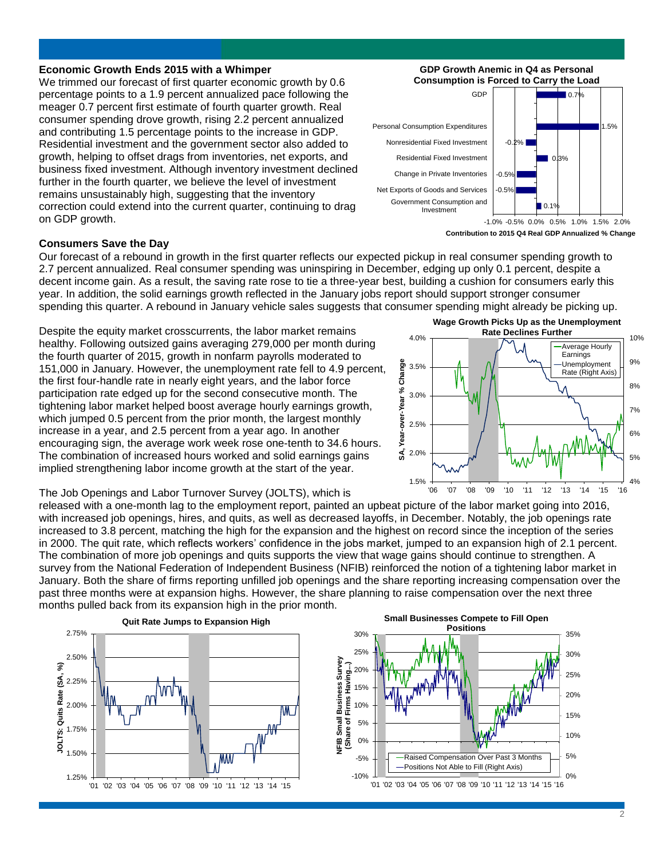#### **Economic Growth Ends 2015 with a Whimper**

We trimmed our forecast of first quarter economic growth by 0.6 percentage points to a 1.9 percent annualized pace following the meager 0.7 percent first estimate of fourth quarter growth. Real consumer spending drove growth, rising 2.2 percent annualized and contributing 1.5 percentage points to the increase in GDP. Residential investment and the government sector also added to growth, helping to offset drags from inventories, net exports, and business fixed investment. Although inventory investment declined further in the fourth quarter, we believe the level of investment remains unsustainably high, suggesting that the inventory correction could extend into the current quarter, continuing to drag on GDP growth.

# **GDP Growth Anemic in Q4 as Personal Consumption is Forced to Carry the Load**



#### **Consumers Save the Day**

Our forecast of a rebound in growth in the first quarter reflects our expected pickup in real consumer spending growth to 2.7 percent annualized. Real consumer spending was uninspiring in December, edging up only 0.1 percent, despite a decent income gain. As a result, the saving rate rose to tie a three-year best, building a cushion for consumers early this year. In addition, the solid earnings growth reflected in the January jobs report should support stronger consumer spending this quarter. A rebound in January vehicle sales suggests that consumer spending might already be picking up.

Despite the equity market crosscurrents, the labor market remains healthy. Following outsized gains averaging 279,000 per month during the fourth quarter of 2015, growth in nonfarm payrolls moderated to 151,000 in January. However, the unemployment rate fell to 4.9 percent, the first four-handle rate in nearly eight years, and the labor force participation rate edged up for the second consecutive month. The tightening labor market helped boost average hourly earnings growth, which jumped 0.5 percent from the prior month, the largest monthly increase in a year, and 2.5 percent from a year ago. In another encouraging sign, the average work week rose one-tenth to 34.6 hours. The combination of increased hours worked and solid earnings gains implied strengthening labor income growth at the start of the year.

**Wage Growth Picks Up as the Unemployment Rate Declines Further**



The Job Openings and Labor Turnover Survey (JOLTS), which is

released with a one-month lag to the employment report, painted an upbeat picture of the labor market going into 2016, with increased job openings, hires, and quits, as well as decreased layoffs, in December. Notably, the job openings rate increased to 3.8 percent, matching the high for the expansion and the highest on record since the inception of the series in 2000. The quit rate, which reflects workers' confidence in the jobs market, jumped to an expansion high of 2.1 percent. The combination of more job openings and quits supports the view that wage gains should continue to strengthen. A survey from the National Federation of Independent Business (NFIB) reinforced the notion of a tightening labor market in January. Both the share of firms reporting unfilled job openings and the share reporting increasing compensation over the past three months were at expansion highs. However, the share planning to raise compensation over the next three months pulled back from its expansion high in the prior month.



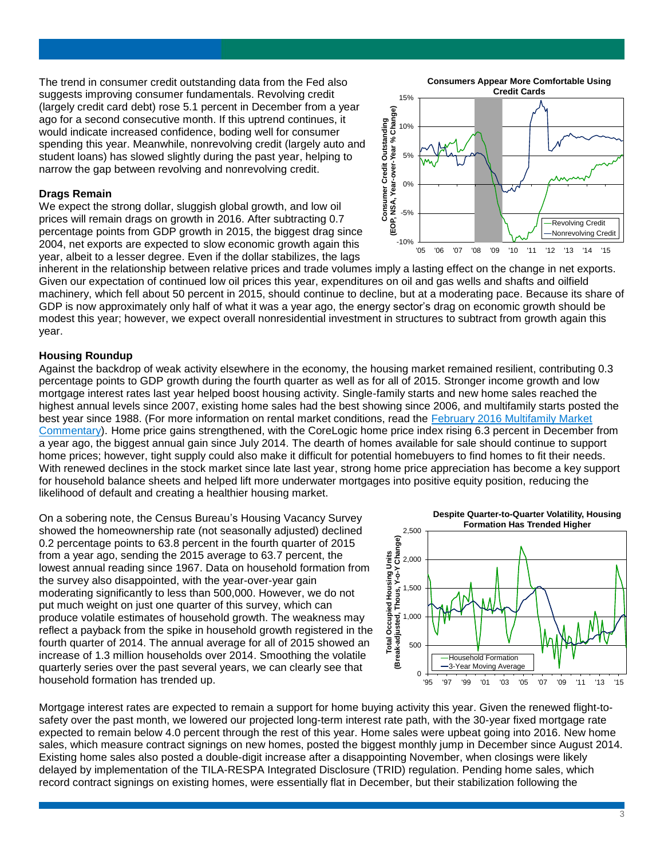The trend in consumer credit outstanding data from the Fed also suggests improving consumer fundamentals. Revolving credit (largely credit card debt) rose 5.1 percent in December from a year ago for a second consecutive month. If this uptrend continues, it would indicate increased confidence, boding well for consumer spending this year. Meanwhile, nonrevolving credit (largely auto and student loans) has slowed slightly during the past year, helping to narrow the gap between revolving and nonrevolving credit.

### **Drags Remain**

We expect the strong dollar, sluggish global growth, and low oil prices will remain drags on growth in 2016. After subtracting 0.7 percentage points from GDP growth in 2015, the biggest drag since 2004, net exports are expected to slow economic growth again this year, albeit to a lesser degree. Even if the dollar stabilizes, the lags



inherent in the relationship between relative prices and trade volumes imply a lasting effect on the change in net exports. Given our expectation of continued low oil prices this year, expenditures on oil and gas wells and shafts and oilfield machinery, which fell about 50 percent in 2015, should continue to decline, but at a moderating pace. Because its share of GDP is now approximately only half of what it was a year ago, the energy sector's drag on economic growth should be modest this year; however, we expect overall nonresidential investment in structures to subtract from growth again this year.

# **Housing Roundup**

Against the backdrop of weak activity elsewhere in the economy, the housing market remained resilient, contributing 0.3 percentage points to GDP growth during the fourth quarter as well as for all of 2015. Stronger income growth and low mortgage interest rates last year helped boost housing activity. Single-family starts and new home sales reached the highest annual levels since 2007, existing home sales had the best showing since 2006, and multifamily starts posted the best year since 1988. (For more information on rental market conditions, read the February 2016 [Multifamily Market](http://www.fanniemae.com/resources/file/research/emma/pdf/MF_Market_Commentary_021716.pdf)  [Commentary\)](http://www.fanniemae.com/resources/file/research/emma/pdf/MF_Market_Commentary_021716.pdf). Home price gains strengthened, with the CoreLogic home price index rising 6.3 percent in December from a year ago, the biggest annual gain since July 2014. The dearth of homes available for sale should continue to support home prices; however, tight supply could also make it difficult for potential homebuyers to find homes to fit their needs. With renewed declines in the stock market since late last year, strong home price appreciation has become a key support for household balance sheets and helped lift more underwater mortgages into positive equity position, reducing the likelihood of default and creating a healthier housing market.

On a sobering note, the Census Bureau's Housing Vacancy Survey showed the homeownership rate (not seasonally adjusted) declined 0.2 percentage points to 63.8 percent in the fourth quarter of 2015 from a year ago, sending the 2015 average to 63.7 percent, the lowest annual reading since 1967. Data on household formation from the survey also disappointed, with the year-over-year gain moderating significantly to less than 500,000. However, we do not put much weight on just one quarter of this survey, which can produce volatile estimates of household growth. The weakness may reflect a payback from the spike in household growth registered in the fourth quarter of 2014. The annual average for all of 2015 showed an increase of 1.3 million households over 2014. Smoothing the volatile quarterly series over the past several years, we can clearly see that household formation has trended up.



Mortgage interest rates are expected to remain a support for home buying activity this year. Given the renewed flight-tosafety over the past month, we lowered our projected long-term interest rate path, with the 30-year fixed mortgage rate expected to remain below 4.0 percent through the rest of this year. Home sales were upbeat going into 2016. New home sales, which measure contract signings on new homes, posted the biggest monthly jump in December since August 2014. Existing home sales also posted a double-digit increase after a disappointing November, when closings were likely delayed by implementation of the TILA-RESPA Integrated Disclosure (TRID) regulation. Pending home sales, which record contract signings on existing homes, were essentially flat in December, but their stabilization following the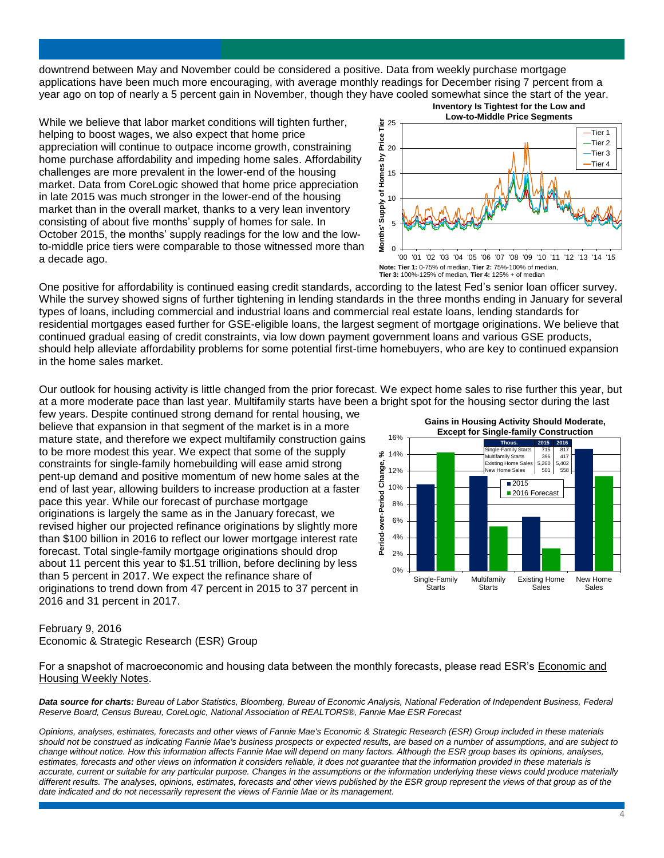downtrend between May and November could be considered a positive. Data from weekly purchase mortgage applications have been much more encouraging, with average monthly readings for December rising 7 percent from a year ago on top of nearly a 5 percent gain in November, though they have cooled somewhat since the start of the year.

While we believe that labor market conditions will tighten further, helping to boost wages, we also expect that home price appreciation will continue to outpace income growth, constraining home purchase affordability and impeding home sales. Affordability challenges are more prevalent in the lower-end of the housing market. Data from CoreLogic showed that home price appreciation in late 2015 was much stronger in the lower-end of the housing market than in the overall market, thanks to a very lean inventory consisting of about five months' supply of homes for sale. In October 2015, the months' supply readings for the low and the lowto-middle price tiers were comparable to those witnessed more than a decade ago.



One positive for affordability is continued easing credit standards, according to the latest Fed's senior loan officer survey. While the survey showed signs of further tightening in lending standards in the three months ending in January for several types of loans, including commercial and industrial loans and commercial real estate loans, lending standards for residential mortgages eased further for GSE-eligible loans, the largest segment of mortgage originations. We believe that continued gradual easing of credit constraints, via low down payment government loans and various GSE products, should help alleviate affordability problems for some potential first-time homebuyers, who are key to continued expansion in the home sales market.

Our outlook for housing activity is little changed from the prior forecast. We expect home sales to rise further this year, but at a more moderate pace than last year. Multifamily starts have been a bright spot for the housing sector during the last

few years. Despite continued strong demand for rental housing, we believe that expansion in that segment of the market is in a more mature state, and therefore we expect multifamily construction gains to be more modest this year. We expect that some of the supply constraints for single-family homebuilding will ease amid strong pent-up demand and positive momentum of new home sales at the end of last year, allowing builders to increase production at a faster pace this year. While our forecast of purchase mortgage originations is largely the same as in the January forecast, we revised higher our projected refinance originations by slightly more than \$100 billion in 2016 to reflect our lower mortgage interest rate forecast. Total single-family mortgage originations should drop about 11 percent this year to \$1.51 trillion, before declining by less than 5 percent in 2017. We expect the refinance share of originations to trend down from 47 percent in 2015 to 37 percent in 2016 and 31 percent in 2017.



## February 9, 2016 Economic & Strategic Research (ESR) Group

For a snapshot of macroeconomic and housing data between the monthly forecasts, please read ESR's [Economic and](http://www.fanniemae.com/portal/research-and-analysis/emma.html)  [Housing Weekly Notes.](http://www.fanniemae.com/portal/research-and-analysis/emma.html)

*Data source for charts: Bureau of Labor Statistics, Bloomberg, Bureau of Economic Analysis, National Federation of Independent Business, Federal Reserve Board, Census Bureau, CoreLogic, National Association of REALTORS®, Fannie Mae ESR Forecast*

*Opinions, analyses, estimates, forecasts and other views of Fannie Mae's Economic & Strategic Research (ESR) Group included in these materials should not be construed as indicating Fannie Mae's business prospects or expected results, are based on a number of assumptions, and are subject to change without notice. How this information affects Fannie Mae will depend on many factors. Although the ESR group bases its opinions, analyses,*  estimates, forecasts and other views on information it considers reliable, it does not guarantee that the information provided in these materials is *accurate, current or suitable for any particular purpose. Changes in the assumptions or the information underlying these views could produce materially different results. The analyses, opinions, estimates, forecasts and other views published by the ESR group represent the views of that group as of the date indicated and do not necessarily represent the views of Fannie Mae or its management.*